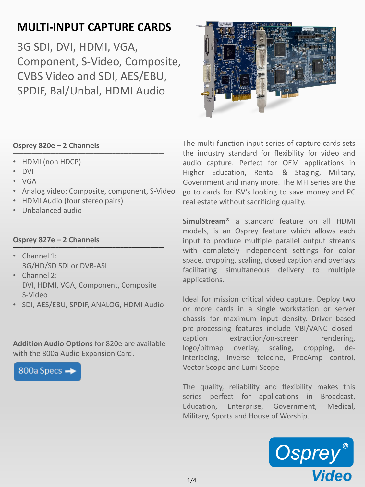## **MULTI-INPUT CAPTURE CARDS**

3G SDI, DVI, HDMI, VGA, Component, S-Video, Composite, CVBS Video and SDI, AES/EBU, SPDIF, Bal/Unbal, HDMI Audio



- HDMI (non HDCP)
- DVI
- VGA
- Analog video: Composite, component, S-Video
- HDMI Audio (four stereo pairs)
- Unbalanced audio

#### **Osprey 827e – 2 Channels** \_\_\_\_\_\_\_\_\_\_\_\_\_\_\_\_\_\_\_\_\_\_\_\_\_\_\_\_\_\_\_\_\_\_\_\_\_\_\_\_\_\_\_\_\_\_\_\_\_\_\_\_\_\_\_\_

- Channel 1: 3G/HD/SD SDI or DVB-ASI
- Channel 2: DVI, HDMI, VGA, Component, Composite S-Video
- SDI, AES/EBU, SPDIF, ANALOG, HDMI Audio

**Addition Audio Options** for 820e are available with the 800a Audio Expansion Card.

800a Specs -



The multi-function input series of capture cards sets the industry standard for flexibility for video and audio capture. Perfect for OEM applications in Higher Education, Rental & Staging, Military, Government and many more. The MFI series are the go to cards for ISV's looking to save money and PC real estate without sacrificing quality.

**SimulStream®** a standard feature on all HDMI models, is an Osprey feature which allows each input to produce multiple parallel output streams with completely independent settings for color space, cropping, scaling, closed caption and overlays facilitating simultaneous delivery to multiple applications.

Ideal for mission critical video capture. Deploy two or more cards in a single workstation or server chassis for maximum input density. Driver based pre-processing features include VBI/VANC closedcaption extraction/on-screen rendering, logo/bitmap overlay, scaling, cropping, deinterlacing, inverse telecine, ProcAmp control, Vector Scope and Lumi Scope

The quality, reliability and flexibility makes this series perfect for applications in Broadcast, Education, Enterprise, Government, Medical, Military, Sports and House of Worship.

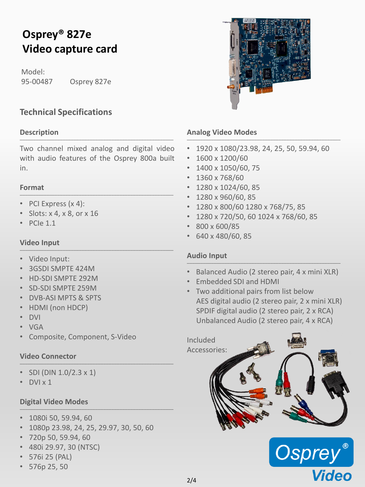# **Osprey® 827e Video capture card**

Model: 95-00487 Osprey 827e

### **Technical Specifications**

#### **Description** \_\_\_\_\_\_\_\_\_\_\_\_\_\_\_\_\_\_\_\_\_\_\_\_\_\_\_\_\_\_\_\_\_\_\_\_\_\_\_\_\_\_\_\_\_\_\_\_\_\_\_\_\_\_\_\_\_

Two channel mixed analog and digital video with audio features of the Osprey 800a built in.

#### **Format** \_\_\_\_\_\_\_\_\_\_\_\_\_\_\_\_\_\_\_\_\_\_\_\_\_\_\_\_\_\_\_\_\_\_\_\_\_\_\_\_\_\_\_\_\_\_\_\_\_\_\_\_\_\_\_\_\_

- PCI Express (x 4):
- Slots: x 4, x 8, or x 16
- PCIe 1.1

#### **Video Input** \_\_\_\_\_\_\_\_\_\_\_\_\_\_\_\_\_\_\_\_\_\_\_\_\_\_\_\_\_\_\_\_\_\_\_\_\_\_\_\_\_\_\_\_\_\_\_\_\_\_\_\_\_\_\_\_\_

- Video Input:
- 3GSDI SMPTE 424M
- HD-SDI SMPTE 292M
- SD-SDI SMPTE 259M
- DVB-ASI MPTS & SPTS
- HDMI (non HDCP)
- DVI
- VGA
- Composite, Component, S-Video

#### **Video Connector** \_\_\_\_\_\_\_\_\_\_\_\_\_\_\_\_\_\_\_\_\_\_\_\_\_\_\_\_\_\_\_\_\_\_\_\_\_\_\_\_\_\_\_\_\_\_\_\_\_\_\_\_\_\_\_\_\_

- SDI (DIN  $1.0/2.3 \times 1$ )
- DVI x 1

#### **Digital Video Modes** \_\_\_\_\_\_\_\_\_\_\_\_\_\_\_\_\_\_\_\_\_\_\_\_\_\_\_\_\_\_\_\_\_\_\_\_\_\_\_\_\_\_\_\_\_\_\_\_\_\_\_\_\_\_\_\_\_

- 1080i 50, 59.94, 60
- 1080p 23.98, 24, 25, 29.97, 30, 50, 60
- 720p 50, 59.94, 60
- 480i 29.97, 30 (NTSC)
- 576i 25 (PAL)
- 576p 25, 50



#### **Analog Video Modes** \_\_\_\_\_\_\_\_\_\_\_\_\_\_\_\_\_\_\_\_\_\_\_\_\_\_\_\_\_\_\_\_\_\_\_\_\_\_\_\_\_\_\_\_\_\_\_\_\_\_\_\_\_\_\_\_\_

- 1920 x 1080/23.98, 24, 25, 50, 59.94, 60
- $\cdot$  1600 x 1200/60
- 1400 x 1050/60, 75
- 1360 x 768/60
- 1280 x 1024/60, 85
- 1280 x 960/60, 85
- 1280 x 800/60 1280 x 768/75, 85
- 1280 x 720/50, 60 1024 x 768/60, 85
- 800 x 600/85
- 640 x 480/60, 85

#### **Audio Input** \_\_\_\_\_\_\_\_\_\_\_\_\_\_\_\_\_\_\_\_\_\_\_\_\_\_\_\_\_\_\_\_\_\_\_\_\_\_\_\_\_\_\_\_\_\_\_\_\_\_\_\_\_\_\_\_\_

- Balanced Audio (2 stereo pair, 4 x mini XLR)
- Embedded SDI and HDMI
- Two additional pairs from list below AES digital audio (2 stereo pair, 2 x mini XLR) SPDIF digital audio (2 stereo pair, 2 x RCA) Unbalanced Audio (2 stereo pair, 4 x RCA)



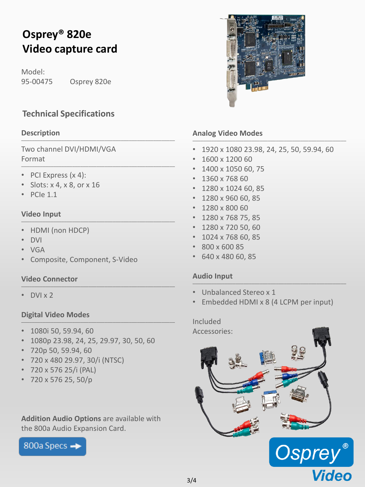# **Osprey® 820e Video capture card**

Model: 95-00475 Osprey 820e

### **Technical Specifications**

#### **Description** \_\_\_\_\_\_\_\_\_\_\_\_\_\_\_\_\_\_\_\_\_\_\_\_\_\_\_\_\_\_\_\_\_\_\_\_\_\_\_\_\_\_\_\_\_\_\_\_\_\_\_\_\_\_\_\_\_

Two channel DVI/HDMI/VGA Format \_\_\_\_\_\_\_\_\_\_\_\_\_\_\_\_\_\_\_\_\_\_\_\_\_\_\_\_\_\_\_\_\_\_\_\_\_\_\_\_\_\_\_\_\_\_\_\_\_\_\_\_\_\_\_\_\_

- PCI Express (x 4):
- Slots: x 4, x 8, or x 16
- PCIe 1.1

#### **Video Input** \_\_\_\_\_\_\_\_\_\_\_\_\_\_\_\_\_\_\_\_\_\_\_\_\_\_\_\_\_\_\_\_\_\_\_\_\_\_\_\_\_\_\_\_\_\_\_\_\_\_\_\_\_\_\_\_\_

- HDMI (non HDCP)
- DVI
- VGA
- Composite, Component, S-Video

#### **Video Connector** \_\_\_\_\_\_\_\_\_\_\_\_\_\_\_\_\_\_\_\_\_\_\_\_\_\_\_\_\_\_\_\_\_\_\_\_\_\_\_\_\_\_\_\_\_\_\_\_\_\_\_\_\_\_\_\_\_

• DVI x 2

#### **Digital Video Modes** \_\_\_\_\_\_\_\_\_\_\_\_\_\_\_\_\_\_\_\_\_\_\_\_\_\_\_\_\_\_\_\_\_\_\_\_\_\_\_\_\_\_\_\_\_\_\_\_\_\_\_\_\_\_\_\_\_

- 1080i 50, 59.94, 60
- 1080p 23.98, 24, 25, 29.97, 30, 50, 60
- 720p 50, 59.94, 60
- 720 x 480 29.97, 30/i (NTSC)
- 720 x 576 25/i (PAL)
- 720 x 576 25, 50/p

**Addition Audio Options** are available with the 800a Audio Expansion Card.

800a Specs -



#### **Analog Video Modes** \_\_\_\_\_\_\_\_\_\_\_\_\_\_\_\_\_\_\_\_\_\_\_\_\_\_\_\_\_\_\_\_\_\_\_\_\_\_\_\_\_\_\_\_\_\_\_\_\_\_\_\_\_\_\_\_\_

- 1920 x 1080 23.98, 24, 25, 50, 59.94, 60
- 1600 x 1200 60
- 1400 x 1050 60, 75
- 1360 x 768 60
- 1280 x 1024 60, 85
- 1280 x 960 60, 85
- 1280 x 800 60
- 1280 x 768 75, 85
- 1280 x 720 50, 60
- 1024 x 768 60, 85
- 800 x 600 85
- 640 x 480 60, 85

#### **Audio Input** \_\_\_\_\_\_\_\_\_\_\_\_\_\_\_\_\_\_\_\_\_\_\_\_\_\_\_\_\_\_\_\_\_\_\_\_\_\_\_\_\_\_\_\_\_\_\_\_\_\_\_\_\_\_\_\_\_

- Unbalanced Stereo x 1
- Embedded HDMI x 8 (4 LCPM per input)